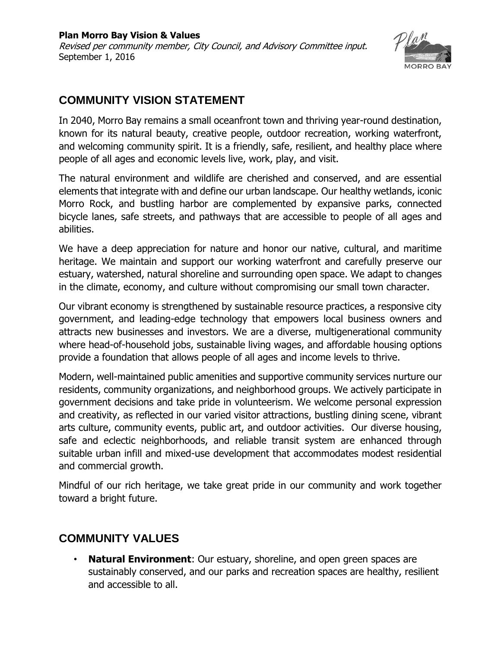

## **COMMUNITY VISION STATEMENT**

In 2040, Morro Bay remains a small oceanfront town and thriving year-round destination, known for its natural beauty, creative people, outdoor recreation, working waterfront, and welcoming community spirit. It is a friendly, safe, resilient, and healthy place where people of all ages and economic levels live, work, play, and visit.

The natural environment and wildlife are cherished and conserved, and are essential elements that integrate with and define our urban landscape. Our healthy wetlands, iconic Morro Rock, and bustling harbor are complemented by expansive parks, connected bicycle lanes, safe streets, and pathways that are accessible to people of all ages and abilities.

We have a deep appreciation for nature and honor our native, cultural, and maritime heritage. We maintain and support our working waterfront and carefully preserve our estuary, watershed, natural shoreline and surrounding open space. We adapt to changes in the climate, economy, and culture without compromising our small town character.

Our vibrant economy is strengthened by sustainable resource practices, a responsive city government, and leading-edge technology that empowers local business owners and attracts new businesses and investors. We are a diverse, multigenerational community where head-of-household jobs, sustainable living wages, and affordable housing options provide a foundation that allows people of all ages and income levels to thrive.

Modern, well-maintained public amenities and supportive community services nurture our residents, community organizations, and neighborhood groups. We actively participate in government decisions and take pride in volunteerism. We welcome personal expression and creativity, as reflected in our varied visitor attractions, bustling dining scene, vibrant arts culture, community events, public art, and outdoor activities. Our diverse housing, safe and eclectic neighborhoods, and reliable transit system are enhanced through suitable urban infill and mixed-use development that accommodates modest residential and commercial growth.

Mindful of our rich heritage, we take great pride in our community and work together toward a bright future.

## **COMMUNITY VALUES**

**Natural Environment:** Our estuary, shoreline, and open green spaces are sustainably conserved, and our parks and recreation spaces are healthy, resilient and accessible to all.